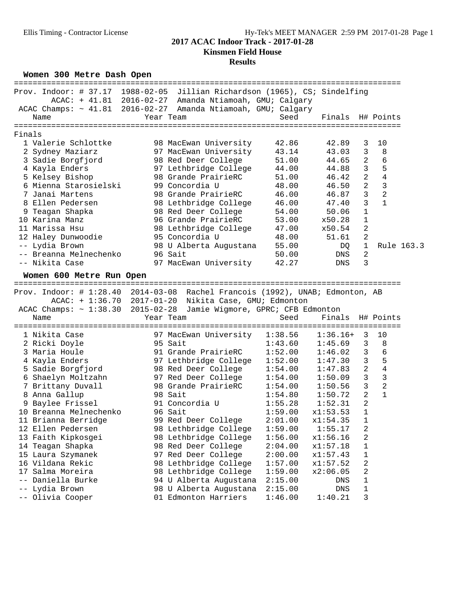## **Results**

**Women 300 Metre Dash Open**

|        | ===============================                                               |                                                        | =================================   |                  |                |                |            |
|--------|-------------------------------------------------------------------------------|--------------------------------------------------------|-------------------------------------|------------------|----------------|----------------|------------|
|        | Prov. Indoor: # 37.17 1988-02-05 Jillian Richardson (1965), CS; Sindelfing    |                                                        |                                     |                  |                |                |            |
|        |                                                                               | ACAC: + 41.81 2016-02-27 Amanda Ntiamoah, GMU; Calgary |                                     |                  |                |                |            |
|        | ACAC Champs: ~ 41.81 2016-02-27 Amanda Ntiamoah, GMU; Calgary                 |                                                        |                                     |                  |                |                |            |
|        | Name                                                                          | Year Team                                              | Seed                                | Finals H# Points |                |                |            |
|        | =====================                                                         | =====================                                  | =================================== |                  |                |                |            |
| Finals |                                                                               |                                                        |                                     |                  |                |                |            |
|        | 1 Valerie Schlottke                                                           | 98 MacEwan University                                  | 42.86                               | 42.89            | 3              | 10             |            |
|        | 2 Sydney Maziarz                                                              | 97 MacEwan University                                  | 43.14                               | 43.03            | 3              | 8              |            |
|        | 3 Sadie Borgfjord                                                             | 98 Red Deer College                                    | 51.00                               | 44.65            | 2              | 6              |            |
|        | 4 Kayla Enders                                                                | 97 Lethbridge College                                  | 44.00                               | 44.88            | 3              | 5              |            |
|        | 5 Kelsey Bishop                                                               | 98 Grande PrairieRC                                    | 51.00                               | 46.42            | 2              | $\overline{4}$ |            |
|        | 6 Mienna Starosielski                                                         | 99 Concordia U                                         | 48.00                               | 46.50            | $\overline{a}$ | $\overline{3}$ |            |
|        | 7 Janai Martens                                                               | 98 Grande PrairieRC                                    | 46.00                               | 46.87            | 3              | $\overline{a}$ |            |
|        | 8 Ellen Pedersen                                                              | 98 Lethbridge College                                  | 46.00                               | 47.40            | 3              | $\mathbf{1}$   |            |
| 9      | Teagan Shapka                                                                 | 98 Red Deer College                                    | 54.00                               | 50.06            | $\mathbf 1$    |                |            |
|        | 10 Karina Manz                                                                | 96 Grande PrairieRC                                    | 53.00                               | x50.28           | $\mathbf 1$    |                |            |
|        | 11 Marissa Hsu                                                                | 98 Lethbridge College                                  |                                     | x50.54           | 2              |                |            |
|        |                                                                               | 95 Concordia U                                         | 47.00                               |                  | 2              |                |            |
|        | 12 Haley Dunwoodie                                                            |                                                        | 48.00                               | 51.61            | $1\,$          |                |            |
|        | -- Lydia Brown<br>-- Breanna Melnechenko                                      | 98 U Alberta Augustana                                 | 55.00                               | DQ               |                |                | Rule 163.3 |
|        |                                                                               | 96 Sait                                                | 50.00                               | DNS              | 2              |                |            |
|        | -- Nikita Case                                                                | 97 MacEwan University                                  | 42.27                               | DNS              | 3              |                |            |
|        | Women 600 Metre Run Open                                                      |                                                        |                                     |                  |                |                |            |
|        |                                                                               |                                                        |                                     |                  |                |                |            |
|        | Prov. Indoor: # 1:28.40 2014-03-08 Rachel Francois (1992), UNAB; Edmonton, AB |                                                        |                                     |                  |                |                |            |
|        |                                                                               | ACAC: + 1:36.70 2017-01-20 Nikita Case, GMU; Edmonton  |                                     |                  |                |                |            |
|        | ACAC Champs: $\sim$ 1:38.30 2015-02-28 Jamie Wigmore, GPRC; CFB Edmonton      |                                                        |                                     |                  |                |                |            |
|        | Name                                                                          | Year Team                                              | Seed                                | Finals           |                | H# Points      |            |
|        |                                                                               |                                                        |                                     |                  |                |                |            |
|        | 1 Nikita Case                                                                 | 97 MacEwan University                                  | 1:38.56                             | $1:36.16+$       | 3              | 10             |            |
|        | 2 Ricki Doyle                                                                 | 95 Sait                                                | 1:43.60                             | 1:45.69          | 3              | 8              |            |
|        | 3 Maria Houle                                                                 | 91 Grande PrairieRC                                    | 1:52.00                             | 1:46.02          | 3              | 6              |            |
|        | 4 Kayla Enders                                                                | 97 Lethbridge College                                  | 1:52.00                             | 1:47.30          | 3              | 5              |            |
|        | 5 Sadie Borgfjord                                                             | 98 Red Deer College                                    | 1:54.00                             | 1:47.83          | 2              | $\overline{4}$ |            |
|        | 6 Shaelyn Moltzahn                                                            | 97 Red Deer College                                    | 1:54.00                             | 1:50.09          | 3              | 3              |            |
|        | 7 Brittany Duvall                                                             | 98 Grande PrairieRC                                    | 1:54.00                             | 1:50.56          | 3              | $\overline{a}$ |            |
|        | 8 Anna Gallup                                                                 | 98 Sait                                                | 1:54.80                             | 1:50.72          | $\overline{2}$ | $\mathbf{1}$   |            |
|        | 9 Baylee Frissel                                                              | 91 Concordia U                                         | 1:55.28                             | 1:52.31          | $\overline{2}$ |                |            |
|        | 10 Breanna Melnechenko                                                        | 96 Sait                                                | 1:59.00                             | x1:53.53         | $\mathbf 1$    |                |            |
|        | 11 Brianna Berridge                                                           | 99 Red Deer College                                    | 2:01.00                             | x1:54.35         | $\mathbf{1}$   |                |            |
|        | 12 Ellen Pedersen                                                             | 98 Lethbridge College                                  | 1:59.00                             | 1:55.17          | 2              |                |            |
|        | 13 Faith Kipkosgei                                                            | 98 Lethbridge College                                  | 1:56.00                             | x1:56.16         | 2              |                |            |
|        | 14 Teagan Shapka                                                              | 98 Red Deer College                                    | 2:04.00                             | x1:57.18         | $\mathbf 1$    |                |            |
|        | 15 Laura Szymanek                                                             | 97 Red Deer College                                    | 2:00.00                             | x1:57.43         | $\mathbf 1$    |                |            |
|        | 16 Vildana Rekic                                                              | 98 Lethbridge College                                  | 1:57.00                             | x1:57.52         | 2              |                |            |
|        | 17 Salma Moreira                                                              | 98 Lethbridge College                                  | 1:59.00                             | x2:06.05         | 2              |                |            |
|        | Daniella Burke                                                                | 94 U Alberta Augustana                                 | 2:15.00                             | DNS              | 1              |                |            |
|        | Lydia Brown                                                                   | 98 U Alberta Augustana                                 | 2:15.00                             | ${\rm DNS}$      | $\mathbf 1$    |                |            |
|        | Olivia Cooper                                                                 | 01 Edmonton Harriers                                   | 1:46.00                             | 1:40.21          | 3              |                |            |
|        |                                                                               |                                                        |                                     |                  |                |                |            |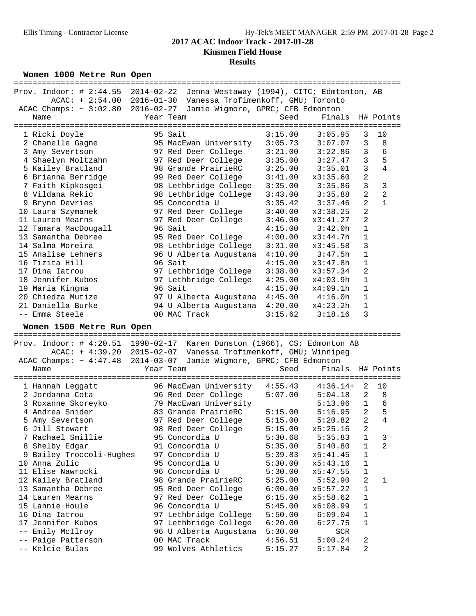# **Results**

**Women 1000 Metre Run Open**

|       | ============================                                                  |           |                                                                |         |                                      |                         |                |
|-------|-------------------------------------------------------------------------------|-----------|----------------------------------------------------------------|---------|--------------------------------------|-------------------------|----------------|
|       | Prov. Indoor: # 2:44.55 2014-02-22 Jenna Westaway (1994), CITC; Edmtonton, AB |           |                                                                |         |                                      |                         |                |
|       |                                                                               |           | ACAC: + 2:54.00 2016-01-30 Vanessa Trofimenkoff, GMU; Toronto  |         |                                      |                         |                |
|       | ACAC Champs: $\sim 3:02.80$ 2016-02-27 Jamie Wigmore, GPRC; CFB Edmonton      |           |                                                                |         |                                      |                         |                |
|       | Name                                                                          | Year Team |                                                                | Seed    | Finals                               |                         | H# Points      |
|       |                                                                               |           |                                                                |         | ==================================== |                         |                |
|       | 1 Ricki Doyle                                                                 |           | 95 Sait                                                        | 3:15.00 | 3:05.95                              | 3                       | 10             |
|       | 2 Chanelle Gagne                                                              |           | 95 MacEwan University                                          | 3:05.73 | 3:07.07                              | 3                       | 8              |
|       | 3 Amy Severtson                                                               |           | 97 Red Deer College                                            | 3:21.00 | 3:22.86                              | 3                       | 6              |
|       | 4 Shaelyn Moltzahn                                                            |           | 97 Red Deer College                                            | 3:35.00 | 3:27.47                              | 3                       | 5              |
|       | 5 Kailey Bratland                                                             |           | 98 Grande PrairieRC                                            | 3:25.00 | 3:35.01                              | 3                       | $\overline{4}$ |
|       | 6 Brianna Berridge                                                            |           | 99 Red Deer College                                            | 3:41.00 | x3:35.60                             | 2                       |                |
|       | 7 Faith Kipkosgei                                                             |           | 98 Lethbridge College                                          | 3:35.00 | 3:35.86                              | 3                       | $\mathsf 3$    |
|       | 8 Vildana Rekic                                                               |           | 98 Lethbridge College                                          | 3:43.00 | 3:35.88                              | $\overline{\mathbf{c}}$ | $\sqrt{2}$     |
|       | 9 Brynn Devries                                                               |           | 95 Concordia U                                                 | 3:35.42 | 3:37.46                              | $\overline{2}$          | $\mathbf{1}$   |
|       | 10 Laura Szymanek                                                             |           | 97 Red Deer College                                            | 3:40.00 | x3:38.25                             | 2                       |                |
|       | 11 Lauren Mearns                                                              |           | 97 Red Deer College                                            | 3:46.00 | x3:41.27                             | 2                       |                |
|       | 12 Tamara MacDougall                                                          |           | 96 Sait                                                        | 4:15.00 | 3:42.0h                              | 1                       |                |
|       | 13 Samantha Debree                                                            |           | 95 Red Deer College                                            | 4:00.00 | x3:44.7h                             | 1                       |                |
|       | 14 Salma Moreira                                                              |           | 98 Lethbridge College                                          | 3:31.00 | x3:45.58                             | 3                       |                |
|       | 15 Analise Lehners                                                            |           | 96 U Alberta Augustana                                         | 4:10.00 | 3:47.5h                              | 1                       |                |
|       | 16 Tizita Hill                                                                |           | 96 Sait                                                        | 4:15.00 | x3:47.8h                             | 1                       |                |
|       | 17 Dina Iatrou                                                                |           | 97 Lethbridge College                                          | 3:38.00 | x3:57.34                             | 2                       |                |
|       | 18 Jennifer Kubos                                                             |           | 97 Lethbridge College                                          | 4:25.00 | x4:03.9h                             | 1                       |                |
|       | 19 Maria Kingma                                                               |           | 96 Sait                                                        | 4:15.00 | x4:09.1h                             | 1                       |                |
|       | 20 Chiedza Mutize                                                             |           | 97 U Alberta Augustana 4:45.00                                 |         | 4:16.0h                              | $1\,$                   |                |
|       | 21 Daniella Burke                                                             |           | 94 U Alberta Augustana 4:20.00                                 |         | x4:23.2h                             | 1                       |                |
|       | -- Emma Steele                                                                |           | 00 MAC Track                                                   | 3:15.62 | 3:18.16                              | 3                       |                |
|       |                                                                               |           |                                                                |         |                                      |                         |                |
|       |                                                                               |           |                                                                |         |                                      |                         |                |
|       | Women 1500 Metre Run Open                                                     |           |                                                                |         |                                      |                         |                |
|       |                                                                               |           |                                                                |         |                                      |                         |                |
|       | Prov. Indoor: $\#$ 4:20.51 1990-02-17 Karen Dunston (1966), CS; Edmonton AB   |           |                                                                |         |                                      |                         |                |
|       |                                                                               |           | ACAC: + 4:39.20 2015-02-07 Vanessa Trofimenkoff, GMU; Winnipeg |         |                                      |                         |                |
|       | ACAC Champs: ~ 4:47.48 2014-03-07                                             |           | Jamie Wigmore, GPRC; CFB Edmonton                              |         |                                      |                         |                |
|       | Name                                                                          | Year Team |                                                                | Seed    | Finals                               |                         | H# Points      |
|       |                                                                               |           |                                                                |         |                                      |                         |                |
|       | 1 Hannah Leggatt                                                              |           |                                                                | 4:55.43 | $4:36.14+$                           | 2                       | 10             |
|       | 2 Jordanna Cota                                                               |           | 96 MacEwan University<br>96 Red Deer College                   | 5:07.00 | 5:04.18                              | 2                       | 8              |
|       | 3 Roxanne Skoreyko                                                            |           | 79 MacEwan University                                          |         | 5:13.96                              | $\mathbf{1}$            | $\epsilon$     |
|       | 4 Andrea Snider                                                               |           | 83 Grande PrairieRC                                            | 5:15.00 | 5:16.95                              | $\overline{a}$          | 5              |
|       | 5 Amy Severtson                                                               |           | 97 Red Deer College                                            | 5:15.00 | 5:20.82                              | 2                       | $\overline{4}$ |
|       | 6 Jill Stewart                                                                |           | 98 Red Deer College                                            | 5:15.00 | x5:25.16                             | 2                       |                |
|       | 7 Rachael Smillie                                                             |           | 95 Concordia U                                                 | 5:30.68 | 5:35.83                              | 1                       | 3              |
|       | 8 Shelby Edgar                                                                |           | 91 Concordia U                                                 | 5:35.00 | 5:40.80                              | 1                       | 2              |
|       | 9 Bailey Troccoli-Hughes                                                      |           | 97 Concordia U                                                 | 5:39.83 | x5:41.45                             | 1                       |                |
|       | 10 Anna Zulic                                                                 |           | 95 Concordia U                                                 | 5:30.00 | x5:43.16                             | 1                       |                |
|       | 11 Elise Nawrocki                                                             |           | 96 Concordia U                                                 | 5:30.00 | x5:47.55                             | 1                       |                |
|       | 12 Kailey Bratland                                                            |           | 98 Grande PrairieRC                                            | 5:25.00 | 5:52.90                              | 2                       | 1              |
|       | 13 Samantha Debree                                                            |           | 95 Red Deer College                                            | 6:00.00 | x5:57.22                             | 1                       |                |
|       | 14 Lauren Mearns                                                              |           | 97 Red Deer College                                            | 6:15.00 | x5:58.62                             | 1                       |                |
|       | 15 Lannie Houle                                                               |           | 96 Concordia U                                                 | 5:45.00 | x6:08.99                             | 1                       |                |
|       | 16 Dina Iatrou                                                                |           | 97 Lethbridge College                                          | 5:50.00 | 6:09.04                              | 1                       |                |
|       | 17 Jennifer Kubos                                                             |           | 97 Lethbridge College                                          | 6:20.00 | 6:27.75                              | 1                       |                |
| $- -$ | Emily McIlroy                                                                 |           | 96 U Alberta Augustana                                         | 5:30.00 | SCR                                  |                         |                |
|       | Paige Patterson                                                               |           | 00 MAC Track                                                   | 4:56.51 | 5:00.24                              | 2                       |                |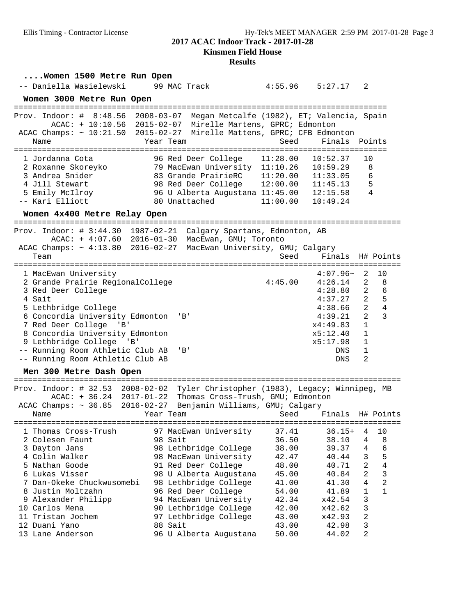# **Results**

| -- Daniella Wasielewski<br>99 MAC Track<br>$4:55.96$ $5:27.17$<br>2<br>Women 3000 Metre Run Open<br>$2008 - 03 - 07$<br>Prov. Indoor: $\#$ 8:48.56<br>Megan Metcalfe (1982), ET; Valencia, Spain<br>ACAC: + 10:10.56 2015-02-07 Mirelle Martens, GPRC; Edmonton<br>ACAC Champs: ~ 10:21.50 2015-02-27 Mirelle Mattens, GPRC; CFB Edmonton<br>Finals<br>Year Team<br>Seed<br>Points<br>Name<br>===========<br>11:28.00<br>10:52.37<br>10<br>1 Jordanna Cota<br>96 Red Deer College<br>2 Roxanne Skoreyko<br>79 MacEwan University 11:10.26<br>10:59.29<br>8<br>3 Andrea Snider<br>83 Grande PrairieRC<br>11:20.00<br>11:33.05<br>6<br>4 Jill Stewart<br>98 Red Deer College<br>12:00.00<br>5<br>11:45.13<br>4<br>5 Emily McIlroy<br>96 U Alberta Augustana 11:45.00<br>12:15.58<br>-- Kari Elliott<br>80 Unattached<br>11:00.00<br>10:49.24<br>Women 4x400 Metre Relay Open<br>Prov. Indoor: # 3:44.30 1987-02-21<br>Calgary Spartans, Edmonton, AB<br>ACAC: + 4:07.60 2016-01-30 MacEwan, GMU; Toronto<br>ACAC Champs: ~ 4:13.80 2016-02-27<br>MacEwan University, GMU; Calgary<br>Finals<br>Seed<br>H# Points<br>Team<br>=====================================<br>======================================<br>$4:07.96-$<br>2<br>10<br>1 MacEwan University<br>2 Grande Prairie RegionalCollege<br>4:45.00<br>4:26.14<br>2<br>8<br>$\overline{a}$<br>6<br>4:28.80<br>3 Red Deer College<br>$\overline{a}$<br>5<br>4 Sait<br>4:37.27<br>2<br>4<br>4:38.66<br>5 Lethbridge College<br>2<br>6 Concordia University Edmonton<br>3<br>4:39.21<br>'B'<br>$\mathbf{1}$<br>7 Red Deer College<br>x4:49.83<br>'B'<br>$\mathbf{1}$<br>8 Concordia University Edmonton<br>x5:12.40<br>$\mathbf{1}$<br>9 Lethbridge College 'B'<br>x5:17.98<br>-- Running Room Athletic Club AB<br>$\mathbf{1}$<br>'B'<br>DNS<br>-- Running Room Athletic Club AB<br>2<br><b>DNS</b><br>Men 300 Metre Dash Open<br>=================<br>Prov. Indoor: $\#$ 32.53 2008-02-02<br>Tyler Christopher (1983), Legacy; Winnipeg, MB<br>$ACAC: + 36.24 2017-01-22$<br>Thomas Cross-Trush, GMU; Edmonton<br>ACAC Champs: $\sim 36.85$ 2016-02-27<br>Benjamin Williams, GMU; Calgary<br>Finals<br>Year Team<br>Seed<br>H# Points<br>Name<br>37.41<br>$36.15+$<br>97 MacEwan University<br>4<br>10<br>1 Thomas Cross-Trush<br>98 Sait<br>36.50<br>4<br>8<br>2 Colesen Faunt<br>38.10<br>6<br>4<br>3 Dayton Jans<br>98 Lethbridge College<br>38.00<br>39.37<br>5<br>3<br>4 Colin Walker<br>98 MacEwan University<br>42.47<br>40.44<br>$\overline{4}$<br>$\overline{a}$<br>5 Nathan Goode<br>91 Red Deer College<br>48.00<br>40.71<br>3<br>$\overline{a}$<br>6 Lukas Visser<br>98 U Alberta Augustana<br>45.00<br>40.84<br>$\overline{a}$<br>4<br>7 Dan-Okeke Chuckwusomebi<br>98 Lethbridge College<br>41.00<br>41.30<br>$\mathbf{1}$<br>8 Justin Moltzahn<br>96 Red Deer College<br>$\mathbf{1}$<br>54.00<br>41.89<br>3<br>x42.54<br>9 Alexander Philipp<br>94 MacEwan University<br>42.34<br>3<br>10 Carlos Mena<br>90 Lethbridge College<br>42.00<br>x42.62<br>$\overline{a}$<br>11 Tristan Jochem<br>97 Lethbridge College<br>43.00<br>x42.93<br>3<br>12 Duani Yano<br>88 Sait<br>43.00<br>42.98 | Women 1500 Metre Run Open |                        |       |       |                |  |
|--------------------------------------------------------------------------------------------------------------------------------------------------------------------------------------------------------------------------------------------------------------------------------------------------------------------------------------------------------------------------------------------------------------------------------------------------------------------------------------------------------------------------------------------------------------------------------------------------------------------------------------------------------------------------------------------------------------------------------------------------------------------------------------------------------------------------------------------------------------------------------------------------------------------------------------------------------------------------------------------------------------------------------------------------------------------------------------------------------------------------------------------------------------------------------------------------------------------------------------------------------------------------------------------------------------------------------------------------------------------------------------------------------------------------------------------------------------------------------------------------------------------------------------------------------------------------------------------------------------------------------------------------------------------------------------------------------------------------------------------------------------------------------------------------------------------------------------------------------------------------------------------------------------------------------------------------------------------------------------------------------------------------------------------------------------------------------------------------------------------------------------------------------------------------------------------------------------------------------------------------------------------------------------------------------------------------------------------------------------------------------------------------------------------------------------------------------------------------------------------------------------------------------------------------------------------------------------------------------------------------------------------------------------------------------------------------------------------------------------------------------------------------------------------------------------------------------------------------------------------------------------------------------------------------------------------------------------------------------------------------------------------------------------------------------------------------------------------------------------------------------------------------------------|---------------------------|------------------------|-------|-------|----------------|--|
|                                                                                                                                                                                                                                                                                                                                                                                                                                                                                                                                                                                                                                                                                                                                                                                                                                                                                                                                                                                                                                                                                                                                                                                                                                                                                                                                                                                                                                                                                                                                                                                                                                                                                                                                                                                                                                                                                                                                                                                                                                                                                                                                                                                                                                                                                                                                                                                                                                                                                                                                                                                                                                                                                                                                                                                                                                                                                                                                                                                                                                                                                                                                                              |                           |                        |       |       |                |  |
|                                                                                                                                                                                                                                                                                                                                                                                                                                                                                                                                                                                                                                                                                                                                                                                                                                                                                                                                                                                                                                                                                                                                                                                                                                                                                                                                                                                                                                                                                                                                                                                                                                                                                                                                                                                                                                                                                                                                                                                                                                                                                                                                                                                                                                                                                                                                                                                                                                                                                                                                                                                                                                                                                                                                                                                                                                                                                                                                                                                                                                                                                                                                                              |                           |                        |       |       |                |  |
|                                                                                                                                                                                                                                                                                                                                                                                                                                                                                                                                                                                                                                                                                                                                                                                                                                                                                                                                                                                                                                                                                                                                                                                                                                                                                                                                                                                                                                                                                                                                                                                                                                                                                                                                                                                                                                                                                                                                                                                                                                                                                                                                                                                                                                                                                                                                                                                                                                                                                                                                                                                                                                                                                                                                                                                                                                                                                                                                                                                                                                                                                                                                                              |                           |                        |       |       |                |  |
|                                                                                                                                                                                                                                                                                                                                                                                                                                                                                                                                                                                                                                                                                                                                                                                                                                                                                                                                                                                                                                                                                                                                                                                                                                                                                                                                                                                                                                                                                                                                                                                                                                                                                                                                                                                                                                                                                                                                                                                                                                                                                                                                                                                                                                                                                                                                                                                                                                                                                                                                                                                                                                                                                                                                                                                                                                                                                                                                                                                                                                                                                                                                                              |                           |                        |       |       |                |  |
|                                                                                                                                                                                                                                                                                                                                                                                                                                                                                                                                                                                                                                                                                                                                                                                                                                                                                                                                                                                                                                                                                                                                                                                                                                                                                                                                                                                                                                                                                                                                                                                                                                                                                                                                                                                                                                                                                                                                                                                                                                                                                                                                                                                                                                                                                                                                                                                                                                                                                                                                                                                                                                                                                                                                                                                                                                                                                                                                                                                                                                                                                                                                                              |                           |                        |       |       |                |  |
|                                                                                                                                                                                                                                                                                                                                                                                                                                                                                                                                                                                                                                                                                                                                                                                                                                                                                                                                                                                                                                                                                                                                                                                                                                                                                                                                                                                                                                                                                                                                                                                                                                                                                                                                                                                                                                                                                                                                                                                                                                                                                                                                                                                                                                                                                                                                                                                                                                                                                                                                                                                                                                                                                                                                                                                                                                                                                                                                                                                                                                                                                                                                                              |                           |                        |       |       |                |  |
|                                                                                                                                                                                                                                                                                                                                                                                                                                                                                                                                                                                                                                                                                                                                                                                                                                                                                                                                                                                                                                                                                                                                                                                                                                                                                                                                                                                                                                                                                                                                                                                                                                                                                                                                                                                                                                                                                                                                                                                                                                                                                                                                                                                                                                                                                                                                                                                                                                                                                                                                                                                                                                                                                                                                                                                                                                                                                                                                                                                                                                                                                                                                                              |                           |                        |       |       |                |  |
|                                                                                                                                                                                                                                                                                                                                                                                                                                                                                                                                                                                                                                                                                                                                                                                                                                                                                                                                                                                                                                                                                                                                                                                                                                                                                                                                                                                                                                                                                                                                                                                                                                                                                                                                                                                                                                                                                                                                                                                                                                                                                                                                                                                                                                                                                                                                                                                                                                                                                                                                                                                                                                                                                                                                                                                                                                                                                                                                                                                                                                                                                                                                                              | 13 Lane Anderson          | 96 U Alberta Augustana | 50.00 | 44.02 | $\overline{a}$ |  |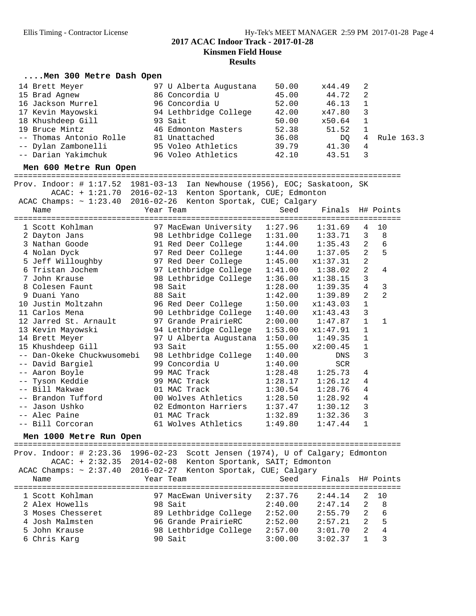| Men 300 Metre Dash Open                                                        |                                                                                       |                        |                  |                |                |
|--------------------------------------------------------------------------------|---------------------------------------------------------------------------------------|------------------------|------------------|----------------|----------------|
| 14 Brett Meyer                                                                 | 97 U Alberta Augustana                                                                | 50.00                  | x44.49           | 2              |                |
| 15 Brad Agnew                                                                  | 86 Concordia U                                                                        | 45.00                  | 44.72            | $\overline{2}$ |                |
| 16 Jackson Murrel                                                              | 96 Concordia U                                                                        | 52.00                  | 46.13            | 1              |                |
| 17 Kevin Mayowski                                                              | 94 Lethbridge College                                                                 | 42.00                  | x47.80           | 3              |                |
| 18 Khushdeep Gill                                                              | 93 Sait                                                                               | 50.00                  | x50.64           | 1              |                |
| 19 Bruce Mintz                                                                 | 46 Edmonton Masters                                                                   | 52.38                  | 51.52            | 1              |                |
| -- Thomas Antonio Rolle                                                        | 81 Unattached                                                                         | 36.08                  | DQ               | $\overline{4}$ | Rule 163.3     |
| -- Dylan Zambonelli                                                            | 95 Voleo Athletics                                                                    | 39.79                  | 41.30            | 4              |                |
| -- Darian Yakimchuk                                                            | 96 Voleo Athletics                                                                    | 42.10                  | 43.51            | 3              |                |
| Men 600 Metre Run Open                                                         |                                                                                       |                        |                  |                |                |
| Prov. Indoor: # 1:17.52 1981-03-13 Ian Newhouse (1956), EOC; Saskatoon, SK     |                                                                                       |                        |                  |                |                |
|                                                                                | ACAC: + 1:21.70 2016-02-13 Kenton Sportank, CUE; Edmonton                             |                        |                  |                |                |
| ACAC Champs: ~ 1:23.40 2016-02-26 Kenton Sportak, CUE; Calgary                 |                                                                                       |                        |                  |                |                |
| Name                                                                           | Year Team                                                                             | Seed                   | Finals H# Points |                |                |
|                                                                                |                                                                                       |                        |                  |                |                |
| 1 Scott Kohlman                                                                | 97 MacEwan University                                                                 | 1:27.96                | 1:31.69          | 4              | 10             |
| 2 Dayton Jans                                                                  | 98 Lethbridge Colleye<br>91 Red Deer College<br>97 Red Deer College<br>3 Deer College | $1:31.00$<br>$1:44.00$ | 1:33.71          | 3              | 8              |
| 3 Nathan Goode                                                                 |                                                                                       |                        | 1:35.43          | 2              | 6              |
| 4 Nolan Dyck                                                                   |                                                                                       | 1:44.00                | 1:37.05          | $\overline{a}$ | 5              |
| 5 Jeff Willoughby                                                              |                                                                                       | 1:45.00                | x1:37.31         | $\overline{a}$ |                |
| 6 Tristan Jochem                                                               | 97 Lethbridge College                                                                 | 1:41.00                | 1:38.02          | $\overline{a}$ | 4              |
| 7 John Krause                                                                  | 98 Lethbridge College                                                                 | 1:36.00                | x1:38.15         | 3              |                |
| 8 Colesen Faunt                                                                | 98 Sait                                                                               | 1:28.00                | 1:39.35          | $\overline{4}$ | 3              |
| 9 Duani Yano                                                                   | 88 Sait                                                                               | 1:42.00                | 1:39.89          | $\overline{2}$ | $\overline{2}$ |
| 10 Justin Moltzahn                                                             | 96 Red Deer College                                                                   | 1:50.00                | x1:43.03         | 1              |                |
| 11 Carlos Mena                                                                 | 90 Lethbridge College                                                                 | 1:40.00                | x1:43.43         | 3              |                |
| 12 Jarred St. Arnault                                                          | 97 Grande PrairieRC                                                                   | 2:00.00                | 1:47.87          | 1              | 1              |
| 13 Kevin Mayowski                                                              | 94 Lethbridge College                                                                 | 1:53.00                | x1:47.91         | $\mathbf{1}$   |                |
| 14 Brett Meyer                                                                 | 97 U Alberta Augustana                                                                | 1:50.00                | 1:49.35          | 1              |                |
| 15 Khushdeep Gill                                                              | 93 Sait                                                                               | 1:55.00                | x2:00.45         | $\mathbf 1$    |                |
| -- Dan-Okeke Chuckwusomebi                                                     | 98 Lethbridge College                                                                 | 1:40.00                | DNS              | 3              |                |
| -- David Bargiel                                                               | 99 Concordia U                                                                        | 1:40.00                | SCR              |                |                |
| -- Aaron Boyle                                                                 | 99 MAC Track                                                                          | 1:28.48                | 1:25.73          | 4              |                |
| -- Tyson Keddie                                                                | 99 MAC Track                                                                          | 1:28.17                | 1:26.12          | 4              |                |
| -- Bill Makwae                                                                 | 01 MAC Track                                                                          |                        | 1:28.76          | 4              |                |
| -- Brandon Tufford                                                             | 00 Wolves Athletics                                                                   | $1:30.54$<br>$1:28.50$ | 1:28.92          | 4              |                |
| -- Jason Ushko                                                                 | 02 Edmonton Harriers                                                                  | 1:37.47                | 1:30.12          | 3              |                |
| -- Alec Paine                                                                  | 01 MAC Track                                                                          | 1:32.89                | 1:32.36          | 3              |                |
| -- Bill Corcoran                                                               | 61 Wolves Athletics                                                                   | 1:49.80                | 1:47.44          |                |                |
| Men 1000 Metre Run Open                                                        |                                                                                       |                        |                  |                |                |
| Prov. Indoor: # 2:23.36 1996-02-23 Scott Jensen (1974), U of Calgary; Edmonton |                                                                                       |                        |                  |                |                |
|                                                                                | ACAC: + 2:32.35 2014-02-08 Kenton Sportank, SAIT; Edmonton                            |                        |                  |                |                |
| ACAC Champs: ~ 2:37.40 2016-02-27 Kenton Sportak, CUE; Calgary                 |                                                                                       |                        |                  |                |                |
| Name                                                                           | Year Team                                                                             | Seed                   | Finals           |                | H# Points      |
|                                                                                |                                                                                       |                        |                  |                |                |
| 1 Scott Kohlman                                                                | 97 MacEwan University                                                                 | 2:37.76                | 2:44.14          | 2              | 10             |
| 2 Alex Howells                                                                 | 98 Sait                                                                               | 2:40.00                | 2:47.14          | 2              | 8              |
| 3 Moses Chesseret                                                              | 89 Lethbridge College                                                                 | 2:52.00                | 2:55.79          | $\overline{a}$ | 6              |
| 4 Josh Malmsten                                                                | 96 Grande PrairieRC                                                                   | 2:52.00                | 2:57.21          | 2              | 5              |
| 5 John Krause                                                                  | 98 Lethbridge College                                                                 | 2:57.00                | 3:01.70          | $\overline{a}$ | $\bf 4$        |
| 6 Chris Karg                                                                   | 90 Sait                                                                               | 3:00.00                | 3:02.37          | $\mathbf{1}$   | 3              |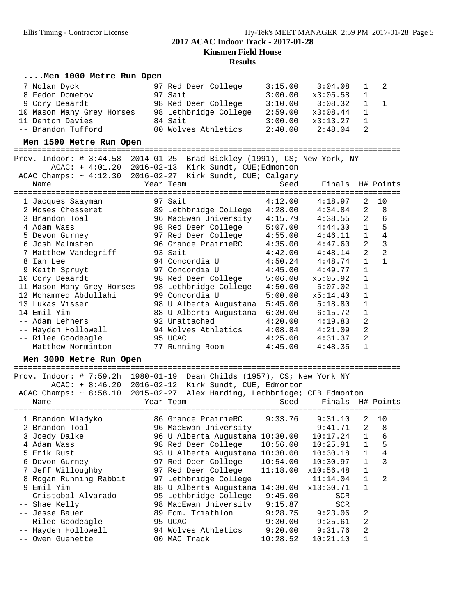## **Results ....Men 1000 Metre Run Open** 7 Nolan Dyck 97 Red Deer College 3:15.00 3:04.08 1 2 8 Fedor Dometov 97 Sait 3:00.00 x3:05.58 1 9 Cory Deaardt 98 Red Deer College 3:10.00 3:08.32 1 1 10 Mason Many Grey Horses 98 Lethbridge College 2:59.00 x3:08.44 1 11 Denton Davies 84 Sait 3:00.00 x3:13.27 1 -- Brandon Tufford 00 Wolves Athletics 2:40.00 2:48.04 2 **Men 1500 Metre Run Open** =================================================================================== Prov. Indoor: # 3:44.58 2014-01-25 Brad Bickley (1991), CS; New York, NY ACAC: + 4:01.20 2016-02-13 Kirk Sundt, CUE;Edmonton ACAC Champs: ~ 4:12.30 2016-02-27 Kirk Sundt, CUE; Calgary Name Team Seed Finals H# Points =================================================================================== 1 Jacques Saayman 97 Sait 4:12.00 4:18.97 2 10 2 Moses Chesseret 89 Lethbridge College 4:28.00 4:34.84 2 8 3 Brandon Toal 96 MacEwan University 4:15.79 4:38.55 2 6 4 Adam Wass 98 Red Deer College 5:07.00 4:44.30 1 5 5 Devon Gurney 97 Red Deer College 4:55.00 4:46.11 1 4 6 Josh Malmsten 96 Grande PrairieRC 4:35.00 4:47.60 2 3 7 Matthew Vandegriff 93 Sait 4:42.00 4:48.14 2 2 8 Ian Lee 94 Concordia U 4:50.24 4:48.74 1 1 9 Keith Spruyt 97 Concordia U 4:45.00 4:49.77 1 10 Cory Deaardt 98 Red Deer College 5:06.00 x5:05.92 1 11 Mason Many Grey Horses 98 Lethbridge College 4:50.00 5:07.02 1 12 Mohammed Abdullahi 99 Concordia U 5:00.00 x5:14.40 1 13 Lukas Visser 98 U Alberta Augustana 5:45.00 5:18.80 1 14 Emil Yim 88 U Alberta Augustana 6:30.00 6:15.72 1 -- Adam Lehners 92 Unattached 4:20.00 4:19.83 2 -- Hayden Hollowell 94 Wolves Athletics 4:08.84 4:21.09 2 -- Rilee Goodeagle 95 UCAC 4:25.00 4:31.37 2 -- Matthew Norminton 77 Running Room 4:45.00 4:48.35 1 **Men 3000 Metre Run Open** =================================================================================== Prov. Indoor: # 7:59.2h 1980-01-19 Dean Childs (1957), CS; New York NY ACAC: + 8:46.20 2016-02-12 Kirk Sundt, CUE, Edmonton ACAC Champs: ~ 8:58.10 2015-02-27 Alex Harding, Lethbridge; CFB Edmonton

| Name |                                                                                                                                                                                                                                                                                                | Seed                                                                                                                                                                                                               | Finals                                                                                                                                 |                                                                                                                                                                   | H# Points |
|------|------------------------------------------------------------------------------------------------------------------------------------------------------------------------------------------------------------------------------------------------------------------------------------------------|--------------------------------------------------------------------------------------------------------------------------------------------------------------------------------------------------------------------|----------------------------------------------------------------------------------------------------------------------------------------|-------------------------------------------------------------------------------------------------------------------------------------------------------------------|-----------|
|      |                                                                                                                                                                                                                                                                                                | 9:33.76                                                                                                                                                                                                            | 9:31.10                                                                                                                                | 2                                                                                                                                                                 | 10        |
|      |                                                                                                                                                                                                                                                                                                |                                                                                                                                                                                                                    |                                                                                                                                        | 2                                                                                                                                                                 | 8         |
|      |                                                                                                                                                                                                                                                                                                |                                                                                                                                                                                                                    | 10:17.24                                                                                                                               | $\mathbf{1}$                                                                                                                                                      | 6         |
|      |                                                                                                                                                                                                                                                                                                | 10:56.00                                                                                                                                                                                                           | 10:25.91                                                                                                                               | $\mathbf{1}$                                                                                                                                                      | 5         |
|      |                                                                                                                                                                                                                                                                                                |                                                                                                                                                                                                                    | 10:30.18                                                                                                                               | $\mathbf{1}$                                                                                                                                                      | 4         |
|      |                                                                                                                                                                                                                                                                                                |                                                                                                                                                                                                                    |                                                                                                                                        | $\mathbf{1}$                                                                                                                                                      | 3         |
|      |                                                                                                                                                                                                                                                                                                |                                                                                                                                                                                                                    | x10:56.48                                                                                                                              | $\mathbf{1}$                                                                                                                                                      |           |
|      |                                                                                                                                                                                                                                                                                                |                                                                                                                                                                                                                    | 11:14.04                                                                                                                               |                                                                                                                                                                   | 2         |
|      |                                                                                                                                                                                                                                                                                                |                                                                                                                                                                                                                    | x13:30.71                                                                                                                              |                                                                                                                                                                   |           |
|      |                                                                                                                                                                                                                                                                                                | 9:45.00                                                                                                                                                                                                            | <b>SCR</b>                                                                                                                             |                                                                                                                                                                   |           |
|      |                                                                                                                                                                                                                                                                                                |                                                                                                                                                                                                                    | <b>SCR</b>                                                                                                                             |                                                                                                                                                                   |           |
|      |                                                                                                                                                                                                                                                                                                |                                                                                                                                                                                                                    | 9:23.06                                                                                                                                | 2                                                                                                                                                                 |           |
|      |                                                                                                                                                                                                                                                                                                | 9:30.00                                                                                                                                                                                                            | 9:25.61                                                                                                                                | 2                                                                                                                                                                 |           |
|      |                                                                                                                                                                                                                                                                                                | 9:20.00                                                                                                                                                                                                            | 9:31.76                                                                                                                                | 2                                                                                                                                                                 |           |
|      |                                                                                                                                                                                                                                                                                                |                                                                                                                                                                                                                    | 10:21.10                                                                                                                               |                                                                                                                                                                   |           |
|      | 1 Brandon Wladyko<br>2 Brandon Toal<br>3 Joedy Dalke<br>4 Adam Wass<br>5 Erik Rust<br>6 Devon Gurney<br>7 Jeff Willoughby<br>8 Rogan Running Rabbit<br>9 Emil Yim<br>-- Cristobal Alvarado<br>-- Shae Kelly<br>-- Jesse Bauer<br>-- Rilee Goodeagle<br>-- Hayden Hollowell<br>-- Owen Guenette | Year Team<br>==========================<br>96 MacEwan University<br>97 Lethbridge College<br>95 Lethbridge College<br>98 MacEwan University<br>89 Edm. Triathlon<br>95 UCAC<br>94 Wolves Athletics<br>00 MAC Track | 86 Grande PrairieRC<br>98 Red Deer College<br>97 Red Deer College<br>97 Red Deer College $11:18.00$<br>88 U Alberta Augustana 14:30.00 | ================================<br>96 U Alberta Augustana 10:30.00<br>93 U Alberta Augustana 10:30.00<br>$10:54.00$ $10:30.97$<br>9:15.87<br>9:28.75<br>10:28.52 | 9:41.71   |